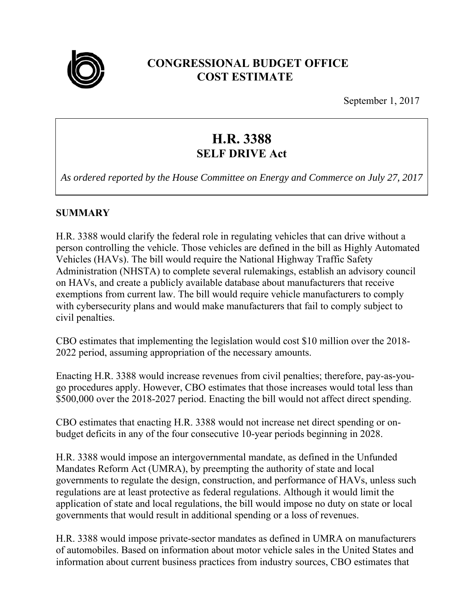

# **CONGRESSIONAL BUDGET OFFICE COST ESTIMATE**

September 1, 2017

# **H.R. 3388 SELF DRIVE Act**

*As ordered reported by the House Committee on Energy and Commerce on July 27, 2017* 

#### **SUMMARY**

H.R. 3388 would clarify the federal role in regulating vehicles that can drive without a person controlling the vehicle. Those vehicles are defined in the bill as Highly Automated Vehicles (HAVs). The bill would require the National Highway Traffic Safety Administration (NHSTA) to complete several rulemakings, establish an advisory council on HAVs, and create a publicly available database about manufacturers that receive exemptions from current law. The bill would require vehicle manufacturers to comply with cybersecurity plans and would make manufacturers that fail to comply subject to civil penalties.

CBO estimates that implementing the legislation would cost \$10 million over the 2018- 2022 period, assuming appropriation of the necessary amounts.

Enacting H.R. 3388 would increase revenues from civil penalties; therefore, pay-as-yougo procedures apply. However, CBO estimates that those increases would total less than \$500,000 over the 2018-2027 period. Enacting the bill would not affect direct spending.

CBO estimates that enacting H.R. 3388 would not increase net direct spending or onbudget deficits in any of the four consecutive 10-year periods beginning in 2028.

H.R. 3388 would impose an intergovernmental mandate, as defined in the Unfunded Mandates Reform Act (UMRA), by preempting the authority of state and local governments to regulate the design, construction, and performance of HAVs, unless such regulations are at least protective as federal regulations. Although it would limit the application of state and local regulations, the bill would impose no duty on state or local governments that would result in additional spending or a loss of revenues.

H.R. 3388 would impose private-sector mandates as defined in UMRA on manufacturers of automobiles. Based on information about motor vehicle sales in the United States and information about current business practices from industry sources, CBO estimates that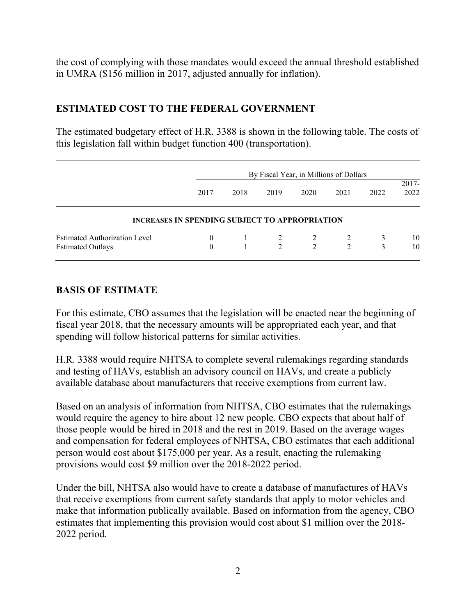the cost of complying with those mandates would exceed the annual threshold established in UMRA (\$156 million in 2017, adjusted annually for inflation).

## **ESTIMATED COST TO THE FEDERAL GOVERNMENT**

The estimated budgetary effect of H.R. 3388 is shown in the following table. The costs of this legislation fall within budget function 400 (transportation).

|                                                                  | By Fiscal Year, in Millions of Dollars                |      |                     |                |        |      |                  |
|------------------------------------------------------------------|-------------------------------------------------------|------|---------------------|----------------|--------|------|------------------|
|                                                                  | 2017                                                  | 2018 | 2019                | 2020           | 2021   | 2022 | $2017 -$<br>2022 |
|                                                                  | <b>INCREASES IN SPENDING SUBJECT TO APPROPRIATION</b> |      |                     |                |        |      |                  |
| <b>Estimated Authorization Level</b><br><b>Estimated Outlays</b> | $\mathbf{0}$<br>$\theta$                              |      | 2<br>$\mathfrak{D}$ | $\mathfrak{D}$ | 2<br>2 | 3    | 10<br>10         |

## **BASIS OF ESTIMATE**

For this estimate, CBO assumes that the legislation will be enacted near the beginning of fiscal year 2018, that the necessary amounts will be appropriated each year, and that spending will follow historical patterns for similar activities.

H.R. 3388 would require NHTSA to complete several rulemakings regarding standards and testing of HAVs, establish an advisory council on HAVs, and create a publicly available database about manufacturers that receive exemptions from current law.

Based on an analysis of information from NHTSA, CBO estimates that the rulemakings would require the agency to hire about 12 new people. CBO expects that about half of those people would be hired in 2018 and the rest in 2019. Based on the average wages and compensation for federal employees of NHTSA, CBO estimates that each additional person would cost about \$175,000 per year. As a result, enacting the rulemaking provisions would cost \$9 million over the 2018-2022 period.

Under the bill, NHTSA also would have to create a database of manufactures of HAVs that receive exemptions from current safety standards that apply to motor vehicles and make that information publically available. Based on information from the agency, CBO estimates that implementing this provision would cost about \$1 million over the 2018- 2022 period.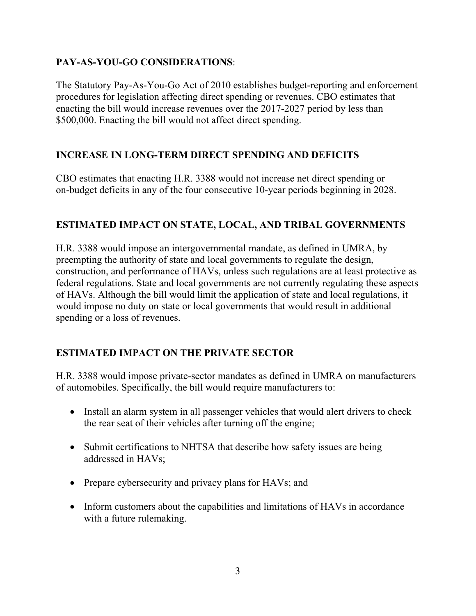## **PAY-AS-YOU-GO CONSIDERATIONS**:

The Statutory Pay-As-You-Go Act of 2010 establishes budget-reporting and enforcement procedures for legislation affecting direct spending or revenues. CBO estimates that enacting the bill would increase revenues over the 2017-2027 period by less than \$500,000. Enacting the bill would not affect direct spending.

## **INCREASE IN LONG-TERM DIRECT SPENDING AND DEFICITS**

CBO estimates that enacting H.R. 3388 would not increase net direct spending or on-budget deficits in any of the four consecutive 10-year periods beginning in 2028.

## **ESTIMATED IMPACT ON STATE, LOCAL, AND TRIBAL GOVERNMENTS**

H.R. 3388 would impose an intergovernmental mandate, as defined in UMRA, by preempting the authority of state and local governments to regulate the design, construction, and performance of HAVs, unless such regulations are at least protective as federal regulations. State and local governments are not currently regulating these aspects of HAVs. Although the bill would limit the application of state and local regulations, it would impose no duty on state or local governments that would result in additional spending or a loss of revenues.

# **ESTIMATED IMPACT ON THE PRIVATE SECTOR**

H.R. 3388 would impose private-sector mandates as defined in UMRA on manufacturers of automobiles. Specifically, the bill would require manufacturers to:

- Install an alarm system in all passenger vehicles that would alert drivers to check the rear seat of their vehicles after turning off the engine;
- Submit certifications to NHTSA that describe how safety issues are being addressed in HAVs;
- Prepare cybersecurity and privacy plans for HAVs; and
- Inform customers about the capabilities and limitations of HAVs in accordance with a future rulemaking.